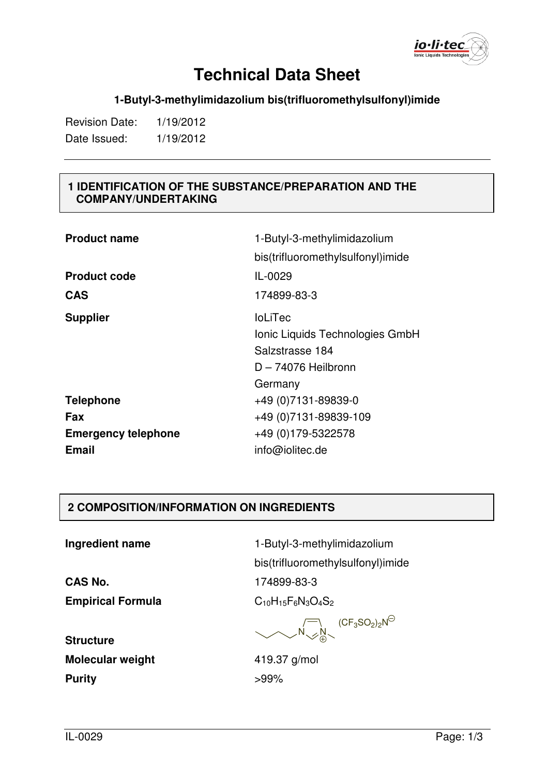io·li·tec

#### **1-Butyl-3-methylimidazolium bis(trifluoromethylsulfonyl)imide**

Revision Date: 1/19/2012 Date Issued: 1/19/2012

#### **1 IDENTIFICATION OF THE SUBSTANCE/PREPARATION AND THE COMPANY/UNDERTAKING**

| <b>Product name</b>        | 1-Butyl-3-methylimidazolium       |
|----------------------------|-----------------------------------|
|                            | bis(trifluoromethylsulfonyl)imide |
| <b>Product code</b>        | IL-0029                           |
| <b>CAS</b>                 | 174899-83-3                       |
| <b>Supplier</b>            | <b>IoLiTec</b>                    |
|                            | Ionic Liquids Technologies GmbH   |
|                            | Salzstrasse 184                   |
|                            | $D - 74076$ Heilbronn             |
|                            | Germany                           |
| <b>Telephone</b>           | +49 (0) 7131-89839-0              |
| Fax                        | +49 (0) 7131-89839-109            |
| <b>Emergency telephone</b> | +49 (0) 179-5322578               |
| <b>Email</b>               | info@iolitec.de                   |

#### **2 COMPOSITION/INFORMATION ON INGREDIENTS**

**Ingredient name** 1-Butyl-3-methylimidazolium

**CAS No.** 174899-83-3 **Empirical Formula**  $C_{10}H_{15}F_6N_3O_4S_2$ 

bis(trifluoromethylsulfonyl)imide

 $N_{\smallsetminus}\mathscr{L}N$ ( $\mathsf{CF}_3\mathsf{SO}_2)_2\mathsf{N}$ 

**Structure Molecular weight 419.37 g/mol Purity** >99%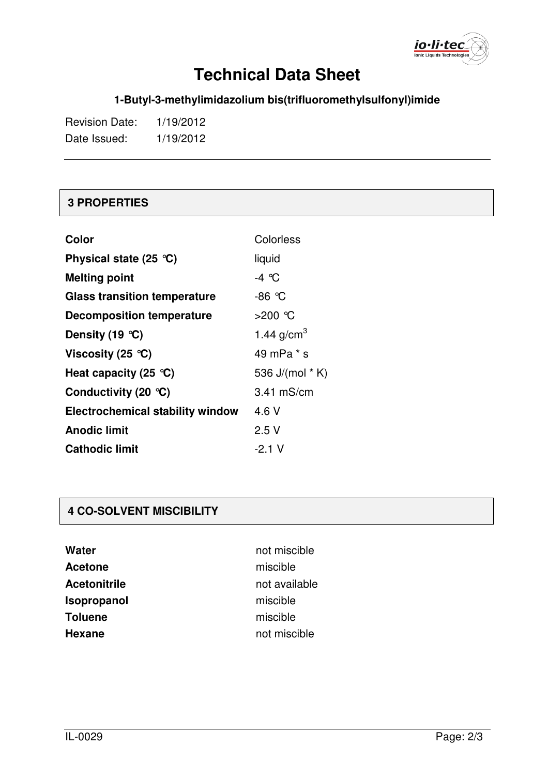

### **1-Butyl-3-methylimidazolium bis(trifluoromethylsulfonyl)imide**

| <b>Revision Date:</b> | 1/19/2012 |
|-----------------------|-----------|
| Date Issued:          | 1/19/2012 |

#### **3 PROPERTIES**

| Color                                          | Colorless       |
|------------------------------------------------|-----------------|
| Physical state $(25 \text{ }^{\circ}\text{C})$ | liquid          |
| <b>Melting point</b>                           | $-4$ °C         |
| <b>Glass transition temperature</b>            | -86 °C          |
| <b>Decomposition temperature</b>               | >200 ℃          |
| Density (19 $°C$ )                             | 1.44 $g/cm^{3}$ |
| Viscosity (25 $^{\circ}$ C)                    | 49 mPa * s      |
| Heat capacity (25 $^{\circ}$ C)                | 536 J/(mol * K) |
| Conductivity (20 $\degree$ C)                  | 3.41 mS/cm      |
| <b>Electrochemical stability window</b>        | 4.6 V           |
| <b>Anodic limit</b>                            | 2.5V            |
| <b>Cathodic limit</b>                          | -2.1 V          |

#### **4 CO-SOLVENT MISCIBILITY**

| Water               |
|---------------------|
| <b>Acetone</b>      |
| <b>Acetonitrile</b> |
| Isopropanol         |
| <b>Toluene</b>      |
| <b>Hexane</b>       |

not miscible miscible **Acetonitrile** not available miscible miscible **Hexane** not miscible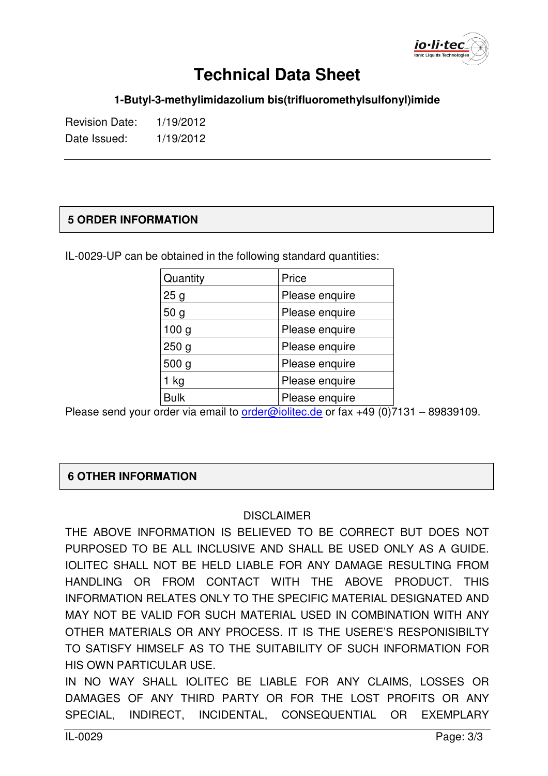

**1-Butyl-3-methylimidazolium bis(trifluoromethylsulfonyl)imide** 

Revision Date: 1/19/2012 Date Issued: 1/19/2012

#### **5 ORDER INFORMATION**

IL-0029-UP can be obtained in the following standard quantities:

| Quantity         | Price          |
|------------------|----------------|
| 25g              | Please enquire |
| 50 <sub>g</sub>  | Please enquire |
| 100 <sub>g</sub> | Please enquire |
| 250 <sub>g</sub> | Please enquire |
| 500 <sub>g</sub> | Please enquire |
| 1 kg             | Please enquire |
| <b>Bulk</b>      | Please enquire |

Please send your order via email to order@iolitec.de or fax +49 (0)7131 - 89839109.

#### **6 OTHER INFORMATION**

#### **DISCLAIMER**

THE ABOVE INFORMATION IS BELIEVED TO BE CORRECT BUT DOES NOT PURPOSED TO BE ALL INCLUSIVE AND SHALL BE USED ONLY AS A GUIDE. IOLITEC SHALL NOT BE HELD LIABLE FOR ANY DAMAGE RESULTING FROM HANDLING OR FROM CONTACT WITH THE ABOVE PRODUCT. THIS INFORMATION RELATES ONLY TO THE SPECIFIC MATERIAL DESIGNATED AND MAY NOT BE VALID FOR SUCH MATERIAL USED IN COMBINATION WITH ANY OTHER MATERIALS OR ANY PROCESS. IT IS THE USERE'S RESPONISIBILTY TO SATISFY HIMSELF AS TO THE SUITABILITY OF SUCH INFORMATION FOR HIS OWN PARTICULAR USE.

IN NO WAY SHALL IOLITEC BE LIABLE FOR ANY CLAIMS, LOSSES OR DAMAGES OF ANY THIRD PARTY OR FOR THE LOST PROFITS OR ANY SPECIAL, INDIRECT, INCIDENTAL, CONSEQUENTIAL OR EXEMPLARY